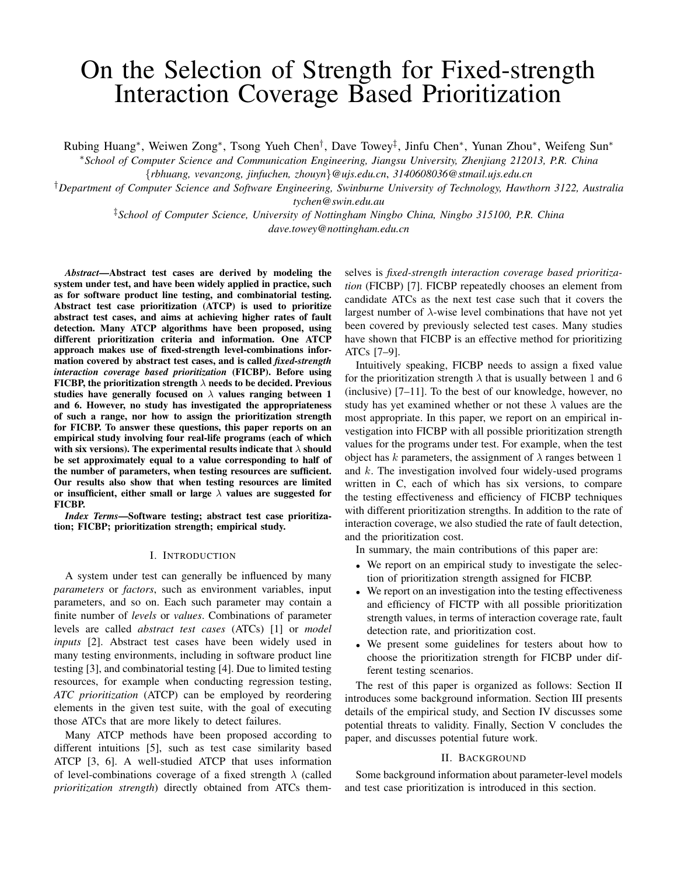# On the Selection of Strength for Fixed-strength Interaction Coverage Based Prioritization

Rubing Huang*∗* , Weiwen Zong*∗* , Tsong Yueh Chen*†* , Dave Towey*‡* , Jinfu Chen*∗* , Yunan Zhou*∗* , Weifeng Sun*∗*

*∗School of Computer Science and Communication Engineering, Jiangsu University, Zhenjiang 212013, P.R. China*

*{rbhuang, vevanzong, jinfuchen, zhouyn}@ujs.edu.cn*, *3140608036@stmail.ujs.edu.cn*

*†Department of Computer Science and Software Engineering, Swinburne University of Technology, Hawthorn 3122, Australia tychen@swin.edu.au*

> *‡School of Computer Science, University of Nottingham Ningbo China, Ningbo 315100, P.R. China dave.towey@nottingham.edu.cn*

*Abstract*—Abstract test cases are derived by modeling the system under test, and have been widely applied in practice, such as for software product line testing, and combinatorial testing. Abstract test case prioritization (ATCP) is used to prioritize abstract test cases, and aims at achieving higher rates of fault detection. Many ATCP algorithms have been proposed, using different prioritization criteria and information. One ATCP approach makes use of fixed-strength level-combinations information covered by abstract test cases, and is called *fixed-strength interaction coverage based prioritization* (FICBP). Before using FICBP, the prioritization strength *λ* needs to be decided. Previous studies have generally focused on *λ* values ranging between 1 and 6. However, no study has investigated the appropriateness of such a range, nor how to assign the prioritization strength for FICBP. To answer these questions, this paper reports on an empirical study involving four real-life programs (each of which with six versions). The experimental results indicate that *λ* should be set approximately equal to a value corresponding to half of the number of parameters, when testing resources are sufficient. Our results also show that when testing resources are limited or insufficient, either small or large *λ* values are suggested for FICBP.

*Index Terms*—Software testing; abstract test case prioritization; FICBP; prioritization strength; empirical study.

## I. INTRODUCTION

A system under test can generally be influenced by many *parameters* or *factors*, such as environment variables, input parameters, and so on. Each such parameter may contain a finite number of *levels* or *values*. Combinations of parameter levels are called *abstract test cases* (ATCs) [1] or *model inputs* [2]. Abstract test cases have been widely used in many testing environments, including in software product line testing [3], and combinatorial testing [4]. Due to limited testing resources, for example when conducting regression testing, *ATC prioritization* (ATCP) can be employed by reordering elements in the given test suite, with the goal of executing those ATCs that are more likely to detect failures.

Many ATCP methods have been proposed according to different intuitions [5], such as test case similarity based ATCP [3, 6]. A well-studied ATCP that uses information of level-combinations coverage of a fixed strength *λ* (called *prioritization strength*) directly obtained from ATCs themselves is *fixed-strength interaction coverage based prioritization* (FICBP) [7]. FICBP repeatedly chooses an element from candidate ATCs as the next test case such that it covers the largest number of *λ*-wise level combinations that have not yet been covered by previously selected test cases. Many studies have shown that FICBP is an effective method for prioritizing ATCs [7–9].

Intuitively speaking, FICBP needs to assign a fixed value for the prioritization strength  $\lambda$  that is usually between 1 and 6 (inclusive) [7–11]. To the best of our knowledge, however, no study has yet examined whether or not these *λ* values are the most appropriate. In this paper, we report on an empirical investigation into FICBP with all possible prioritization strength values for the programs under test. For example, when the test object has *k* parameters, the assignment of  $\lambda$  ranges between 1 and *k*. The investigation involved four widely-used programs written in C, each of which has six versions, to compare the testing effectiveness and efficiency of FICBP techniques with different prioritization strengths. In addition to the rate of interaction coverage, we also studied the rate of fault detection, and the prioritization cost.

In summary, the main contributions of this paper are:

- *•* We report on an empirical study to investigate the selection of prioritization strength assigned for FICBP.
- We report on an investigation into the testing effectiveness and efficiency of FICTP with all possible prioritization strength values, in terms of interaction coverage rate, fault detection rate, and prioritization cost.
- *•* We present some guidelines for testers about how to choose the prioritization strength for FICBP under different testing scenarios.

The rest of this paper is organized as follows: Section II introduces some background information. Section III presents details of the empirical study, and Section IV discusses some potential threats to validity. Finally, Section V concludes the paper, and discusses potential future work.

## II. BACKGROUND

Some background information about parameter-level models and test case prioritization is introduced in this section.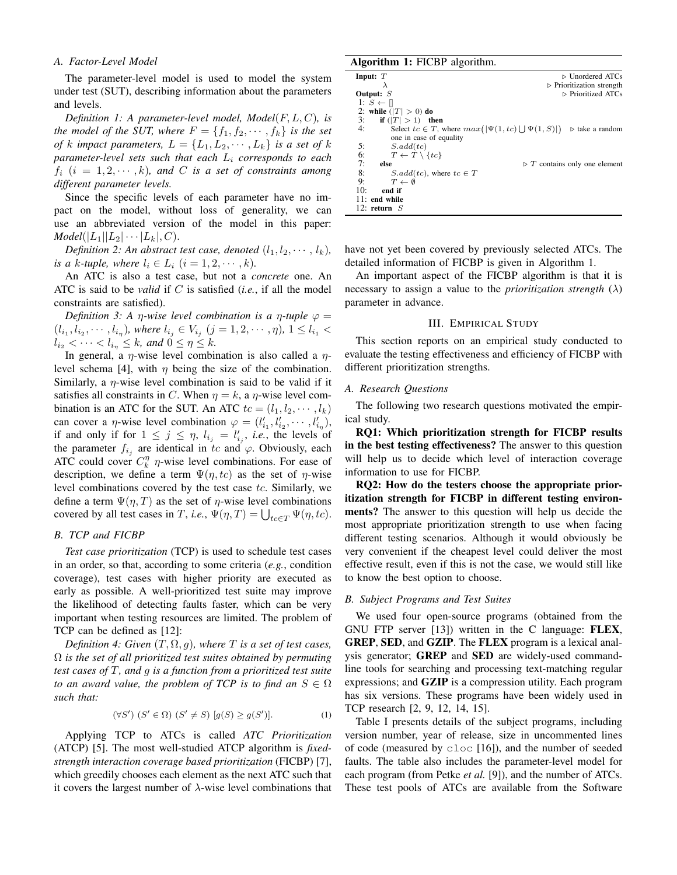## *A. Factor-Level Model*

The parameter-level model is used to model the system under test (SUT), describing information about the parameters and levels.

*Definition 1: A parameter-level model, Model*(*F, L, C*)*, is the model of the SUT, where*  $F = \{f_1, f_2, \dots, f_k\}$  *is the set of k impact parameters,*  $L = \{L_1, L_2, \cdots, L_k\}$  *is a set of k parameter-level sets such that each L<sup>i</sup> corresponds to each*  $f_i$  ( $i = 1, 2, \dots, k$ ), and C is a set of constraints among *different parameter levels.*

Since the specific levels of each parameter have no impact on the model, without loss of generality, we can use an abbreviated version of the model in this paper: *Model*( $|L_1||L_2| \cdots |L_k|$ , *C*).

*Definition 2: An abstract test case, denoted*  $(l_1, l_2, \cdots, l_k)$ *, is a k*-tuple, where  $l_i \in L_i$   $(i = 1, 2, \dots, k)$ .

An ATC is also a test case, but not a *concrete* one. An ATC is said to be *valid* if *C* is satisfied (*i.e.*, if all the model constraints are satisfied).

*Definition 3: A η-wise level combination is a η-tuple*  $φ =$  $(l_{i_1}, l_{i_2}, \cdots, l_{i_n})$ , where  $l_{i_j} \in V_{i_j}$   $(j = 1, 2, \cdots, \eta)$ ,  $1 \leq l_{i_1}$  $l_{i_2} < \cdots < l_{i_n} \leq k$ , and  $0 \leq \eta \leq k$ .

In general, a *η*-wise level combination is also called a *η*level schema [4], with  $\eta$  being the size of the combination. Similarly, a *η*-wise level combination is said to be valid if it satisfies all constraints in *C*. When  $\eta = k$ , a *η*-wise level combination is an ATC for the SUT. An ATC  $tc = (l_1, l_2, \dots, l_k)$ can cover a *η*-wise level combination  $\varphi = (l'_{i_1}, l'_{i_2}, \cdots, l'_{i_n}),$ if and only if for  $1 \leq j \leq \eta$ ,  $l_{i_j} = l'_{i_j}$ , *i.e.*, the levels of the parameter  $f_{i_j}$  are identical in *tc* and  $\varphi$ . Obviously, each ATC could cover  $C_k^n$   $\eta$ -wise level combinations. For ease of description, we define a term  $\Psi(\eta, tc)$  as the set of *η*-wise level combinations covered by the test case *tc*. Similarly, we define a term  $\Psi(\eta, T)$  as the set of  $\eta$ -wise level combinations covered by all test cases in *T*, *i.e.*,  $\Psi(\eta, T) = \bigcup_{t \in T} \Psi(\eta, tc)$ .

## *B. TCP and FICBP*

*Test case prioritization* (TCP) is used to schedule test cases in an order, so that, according to some criteria (*e.g.*, condition coverage), test cases with higher priority are executed as early as possible. A well-prioritized test suite may improve the likelihood of detecting faults faster, which can be very important when testing resources are limited. The problem of TCP can be defined as [12]:

*Definition 4: Given*  $(T, \Omega, g)$ *, where*  $T$  *is a set of test cases,* Ω *is the set of all prioritized test suites obtained by permuting test cases of T, and g is a function from a prioritized test suite to an award value, the problem of TCP is to find an*  $S \in \Omega$ *such that:*

$$
(\forall S') (S' \in \Omega) (S' \neq S) [g(S) \geq g(S')]. \tag{1}
$$

Applying TCP to ATCs is called *ATC Prioritization* (ATCP) [5]. The most well-studied ATCP algorithm is *fixedstrength interaction coverage based prioritization* (FICBP) [7], which greedily chooses each element as the next ATC such that it covers the largest number of *λ*-wise level combinations that

## Algorithm 1: FICBP algorithm.

| Input: $T$                                                            | $\triangleright$ Unordered ATCs              |
|-----------------------------------------------------------------------|----------------------------------------------|
| $\lambda$                                                             | $\triangleright$ Prioritization strength     |
| Output: $S$                                                           | $\triangleright$ Prioritized ATCs            |
| 1: $S \leftarrow \mathbb{R}$                                          |                                              |
| 2: while $( T  > 0)$ do                                               |                                              |
| 3:<br>if $( T  > 1)$ then                                             |                                              |
| Select $tc \in T$ , where $max( \Psi(1, tc)  \cup \Psi(1, S) )$<br>4: | $\triangleright$ take a random               |
| one in case of equality                                               |                                              |
| 5:<br>S.add(tc)                                                       |                                              |
| 6:<br>$T \leftarrow T \setminus \{tc\}$                               |                                              |
| 7:<br>else                                                            | $\triangleright$ T contains only one element |
| 8:<br>$S.add(te)$ , where $tc \in T$                                  |                                              |
| 9:<br>$T \leftarrow \emptyset$                                        |                                              |
| 10:<br>end if                                                         |                                              |
| $11:$ end while                                                       |                                              |
| 12: return $S$                                                        |                                              |
|                                                                       |                                              |

have not yet been covered by previously selected ATCs. The detailed information of FICBP is given in Algorithm 1.

An important aspect of the FICBP algorithm is that it is necessary to assign a value to the *prioritization strength* (*λ*) parameter in advance.

### III. EMPIRICAL STUDY

This section reports on an empirical study conducted to evaluate the testing effectiveness and efficiency of FICBP with different prioritization strengths.

#### *A. Research Questions*

The following two research questions motivated the empirical study.

RQ1: Which prioritization strength for FICBP results in the best testing effectiveness? The answer to this question will help us to decide which level of interaction coverage information to use for FICBP.

RQ2: How do the testers choose the appropriate prioritization strength for FICBP in different testing environments? The answer to this question will help us decide the most appropriate prioritization strength to use when facing different testing scenarios. Although it would obviously be very convenient if the cheapest level could deliver the most effective result, even if this is not the case, we would still like to know the best option to choose.

#### *B. Subject Programs and Test Suites*

We used four open-source programs (obtained from the GNU FTP server [13]) written in the C language: FLEX, GREP, SED, and GZIP. The FLEX program is a lexical analysis generator; GREP and SED are widely-used commandline tools for searching and processing text-matching regular expressions; and GZIP is a compression utility. Each program has six versions. These programs have been widely used in TCP research [2, 9, 12, 14, 15].

Table I presents details of the subject programs, including version number, year of release, size in uncommented lines of code (measured by cloc [16]), and the number of seeded faults. The table also includes the parameter-level model for each program (from Petke *et al.* [9]), and the number of ATCs. These test pools of ATCs are available from the Software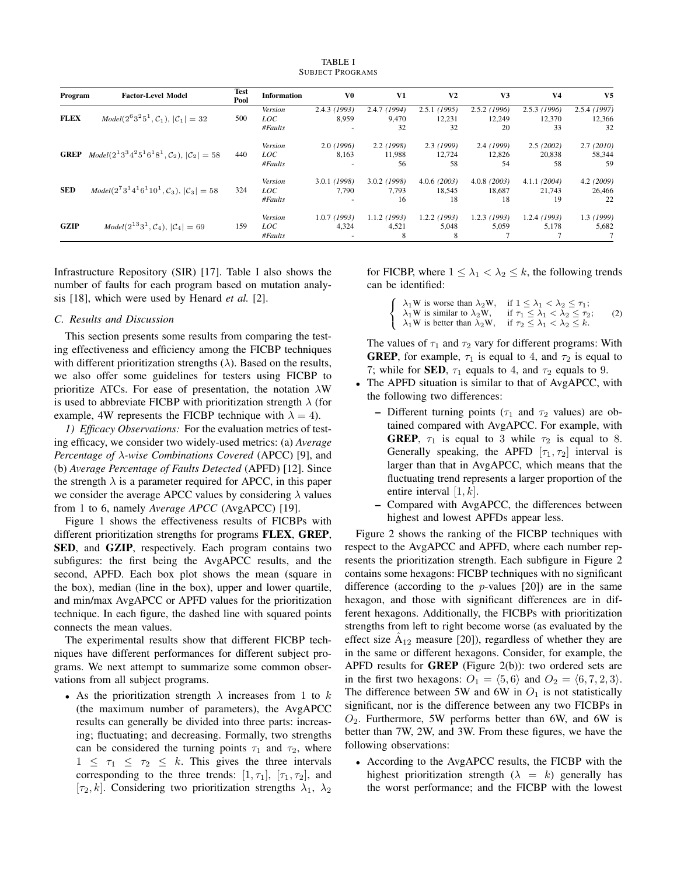TABLE I SUBJECT PROGRAMS

| Program     | <b>Factor-Level Model</b>                                                          | Test<br>Pool | <b>Information</b> | V0           | V1             | V <sub>2</sub> | V <sub>3</sub> | V <sub>4</sub> | V <sub>5</sub> |
|-------------|------------------------------------------------------------------------------------|--------------|--------------------|--------------|----------------|----------------|----------------|----------------|----------------|
| <b>FLEX</b> |                                                                                    |              | Version            | 2.4.3(1993)  | 2.4.7(1994)    | 2.5.1(1995)    | $2.5.2$ (1996) | 2.5.3(1996)    | 2.5.4(1997)    |
|             | $Model(2^{6}3^{2}5^{1}, \mathcal{C}_{1}),  \mathcal{C}_{1}  = 32$                  | 500          | LOC                | 8.959        | 9,470          | 12,231         | 12,249         | 12,370         | 12,366         |
|             |                                                                                    |              | #Faults            |              | 32             | 32             | 20             | 33             | 32             |
|             |                                                                                    |              | Version            | 2.0(1996)    | 2.2(1998)      | 2.3(1999)      | 2.4(1999)      | 2.5(2002)      | 2.7(2010)      |
|             | <b>GREP</b> $Model(2^{1}3^{3}4^{2}5^{1}6^{1}8^{1}, C_{2}),  \mathcal{C}_{2}  = 58$ | 440          | LOC                | 8.163        | 11.988         | 12.724         | 12,826         | 20,838         | 58,344         |
|             |                                                                                    |              | #Faults            |              | 56             | 58             | 54             | 58             | 59             |
| <b>SED</b>  |                                                                                    |              | Version            | 3.0.1 (1998) | $3.0.2$ (1998) | 4.0.6(2003)    | $4.0.8$ (2003) | 4.1.1(2004)    | 4.2(2009)      |
|             | $Model(2^73^14^16^110^1, \mathcal{C}_3),  \mathcal{C}_3  = 58$                     | 324          | LOC                | 7.790        | 7.793          | 18,545         | 18.687         | 21,743         | 26,466         |
|             |                                                                                    |              | #Faults            |              | 16             | 18             | 18             | 19             | 22             |
|             |                                                                                    |              | Version            | 1.0.7(1993)  | $1.1.2$ (1993) | $1.2.2$ (1993) | $1.2.3$ (1993) | 1.2.4(1993)    | 1.3(1999)      |
| <b>GZIP</b> | $Model(2^{13}3^1, C_4),  C_4  = 69$                                                | 159          | LOC                | 4.324        | 4,521          | 5.048          | 5.059          | 5.178          | 5,682          |
|             |                                                                                    |              | #Faults            |              | 8              | 8              |                |                |                |

Infrastructure Repository (SIR) [17]. Table I also shows the number of faults for each program based on mutation analysis [18], which were used by Henard *et al.* [2].

## *C. Results and Discussion*

This section presents some results from comparing the testing effectiveness and efficiency among the FICBP techniques with different prioritization strengths (*λ*). Based on the results, we also offer some guidelines for testers using FICBP to prioritize ATCs. For ease of presentation, the notation *λ*W is used to abbreviate FICBP with prioritization strength  $\lambda$  (for example, 4W represents the FICBP technique with  $\lambda = 4$ ).

*1) Efficacy Observations:* For the evaluation metrics of testing efficacy, we consider two widely-used metrics: (a) *Average Percentage of λ-wise Combinations Covered* (APCC) [9], and (b) *Average Percentage of Faults Detected* (APFD) [12]. Since the strength  $\lambda$  is a parameter required for APCC, in this paper we consider the average APCC values by considering *λ* values from 1 to 6, namely *Average APCC* (AvgAPCC) [19].

Figure 1 shows the effectiveness results of FICBPs with different prioritization strengths for programs FLEX, GREP, SED, and GZIP, respectively. Each program contains two subfigures: the first being the AvgAPCC results, and the second, APFD. Each box plot shows the mean (square in the box), median (line in the box), upper and lower quartile, and min/max AvgAPCC or APFD values for the prioritization technique. In each figure, the dashed line with squared points connects the mean values.

The experimental results show that different FICBP techniques have different performances for different subject programs. We next attempt to summarize some common observations from all subject programs.

*•* As the prioritization strength *λ* increases from 1 to *k* (the maximum number of parameters), the AvgAPCC results can generally be divided into three parts: increasing; fluctuating; and decreasing. Formally, two strengths can be considered the turning points  $\tau_1$  and  $\tau_2$ , where  $1 \leq \tau_1 \leq \tau_2 \leq k$ . This gives the three intervals corresponding to the three trends:  $[1, \tau_1]$ ,  $[\tau_1, \tau_2]$ , and [ $\tau_2, k$ ]. Considering two prioritization strengths  $\lambda_1, \lambda_2$  for FICBP, where  $1 \leq \lambda_1 < \lambda_2 \leq k$ , the following trends can be identified:

| $\left\{\n\begin{array}{ll}\n\lambda_1 W & \text{is worse than }\lambda_2 W, & \text{if } 1 \leq \lambda_1 < \lambda_2 \leq \tau_1; \\ \lambda_1 W & \text{is similar to }\lambda_2 W, & \text{if } \tau_1 \leq \lambda_1 < \lambda_2 \leq \tau_2;\n\end{array}\n\right.$ |     |
|---------------------------------------------------------------------------------------------------------------------------------------------------------------------------------------------------------------------------------------------------------------------------|-----|
|                                                                                                                                                                                                                                                                           | (2) |
| $\lambda_1 W$ is better than $\lambda_2 W$ , if $\tau_2 \leq \lambda_1 < \lambda_2 \leq k$ .                                                                                                                                                                              |     |

The values of  $\tau_1$  and  $\tau_2$  vary for different programs: With **GREP**, for example,  $\tau_1$  is equal to 4, and  $\tau_2$  is equal to 7; while for **SED**,  $\tau_1$  equals to 4, and  $\tau_2$  equals to 9.

- *•* The APFD situation is similar to that of AvgAPCC, with the following two differences:
	- Different turning points ( $\tau_1$  and  $\tau_2$  values) are obtained compared with AvgAPCC. For example, with **GREP**,  $\tau_1$  is equal to 3 while  $\tau_2$  is equal to 8. Generally speaking, the APFD  $[\tau_1, \tau_2]$  interval is larger than that in AvgAPCC, which means that the fluctuating trend represents a larger proportion of the entire interval [1*, k*].
	- Compared with AvgAPCC, the differences between highest and lowest APFDs appear less.

Figure 2 shows the ranking of the FICBP techniques with respect to the AvgAPCC and APFD, where each number represents the prioritization strength. Each subfigure in Figure 2 contains some hexagons: FICBP techniques with no significant difference (according to the *p*-values [20]) are in the same hexagon, and those with significant differences are in different hexagons. Additionally, the FICBPs with prioritization strengths from left to right become worse (as evaluated by the effect size  $\hat{A}_{12}$  measure [20]), regardless of whether they are in the same or different hexagons. Consider, for example, the APFD results for **GREP** (Figure  $2(b)$ ): two ordered sets are in the first two hexagons:  $O_1 = \langle 5, 6 \rangle$  and  $O_2 = \langle 6, 7, 2, 3 \rangle$ . The difference between 5W and 6W in  $O_1$  is not statistically significant, nor is the difference between any two FICBPs in *O*2. Furthermore, 5W performs better than 6W, and 6W is better than 7W, 2W, and 3W. From these figures, we have the following observations:

*•* According to the AvgAPCC results, the FICBP with the highest prioritization strength  $(\lambda = k)$  generally has the worst performance; and the FICBP with the lowest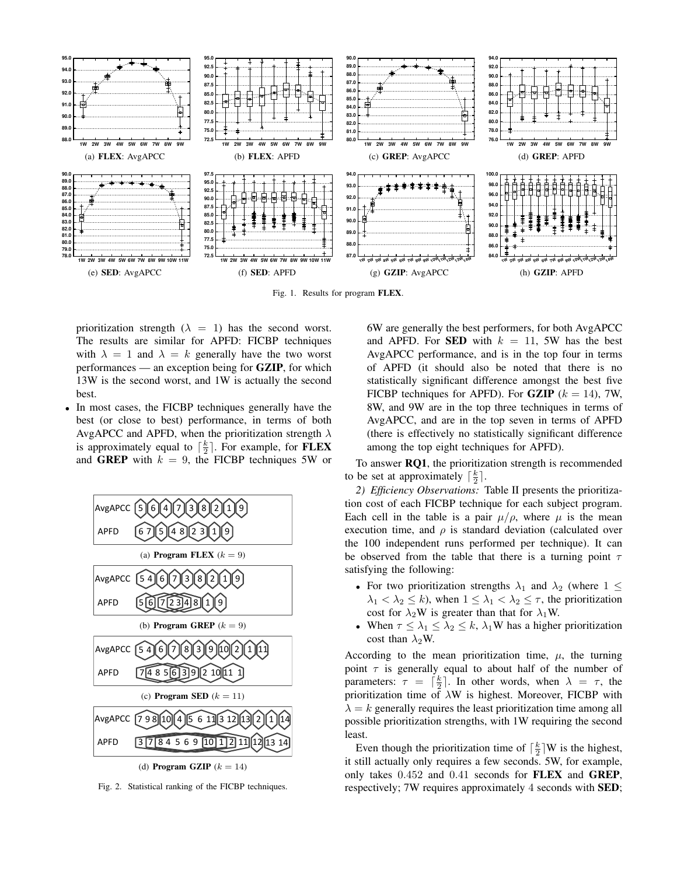

Fig. 1. Results for program FLEX.

prioritization strength  $(\lambda = 1)$  has the second worst. The results are similar for APFD: FICBP techniques with  $\lambda = 1$  and  $\lambda = k$  generally have the two worst performances — an exception being for GZIP, for which 13W is the second worst, and 1W is actually the second best.

*•* In most cases, the FICBP techniques generally have the best (or close to best) performance, in terms of both AvgAPCC and APFD, when the prioritization strength *λ* is approximately equal to  $\lceil \frac{k}{2} \rceil$ . For example, for **FLEX** and **GREP** with  $k = 9$ , the FICBP techniques 5W or



Fig. 2. Statistical ranking of the FICBP techniques.

6W are generally the best performers, for both AvgAPCC and APFD. For **SED** with  $k = 11$ , 5W has the best AvgAPCC performance, and is in the top four in terms of APFD (it should also be noted that there is no statistically significant difference amongst the best five FICBP techniques for APFD). For **GZIP** ( $k = 14$ ), 7W, 8W, and 9W are in the top three techniques in terms of AvgAPCC, and are in the top seven in terms of APFD (there is effectively no statistically significant difference among the top eight techniques for APFD).

To answer RQ1, the prioritization strength is recommended to be set at approximately  $\lceil \frac{k}{2} \rceil$ .

*2) Efficiency Observations:* Table II presents the prioritization cost of each FICBP technique for each subject program. Each cell in the table is a pair  $\mu/\rho$ , where  $\mu$  is the mean execution time, and  $\rho$  is standard deviation (calculated over the 100 independent runs performed per technique). It can be observed from the table that there is a turning point *τ* satisfying the following:

- For two prioritization strengths  $\lambda_1$  and  $\lambda_2$  (where  $1 \leq$  $\lambda_1 < \lambda_2 \leq k$ , when  $1 \leq \lambda_1 < \lambda_2 \leq \tau$ , the prioritization cost for  $\lambda_2$ W is greater than that for  $\lambda_1$ W.
- When  $\tau \leq \lambda_1 \leq \lambda_2 \leq k$ ,  $\lambda_1$ W has a higher prioritization cost than  $\lambda_2$ W.

According to the mean prioritization time,  $\mu$ , the turning point *τ* is generally equal to about half of the number of parameters:  $\tau = \lceil \frac{k}{2} \rceil$ . In other words, when  $\lambda = \tau$ , the prioritization time of *λ*W is highest. Moreover, FICBP with  $\lambda = k$  generally requires the least prioritization time among all possible prioritization strengths, with 1W requiring the second least.

Even though the prioritization time of  $\lceil \frac{k}{2} \rceil W$  is the highest, it still actually only requires a few seconds. 5W, for example, only takes 0*.*452 and 0*.*41 seconds for FLEX and GREP, respectively; 7W requires approximately 4 seconds with SED;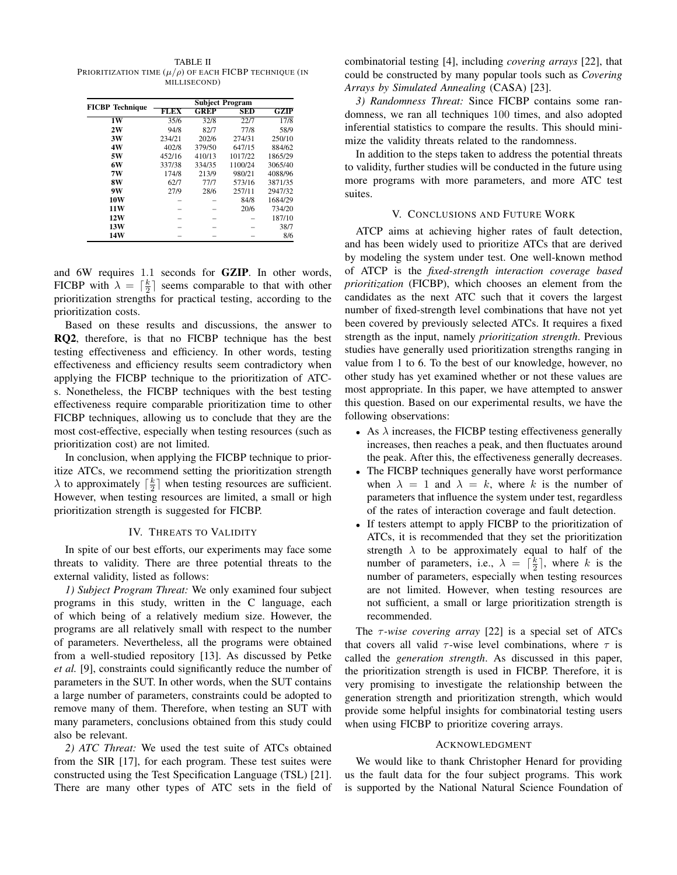TABLE II PRIORITIZATION TIME  $(\mu/\rho)$  OF EACH FICBP TECHNIQUE (IN MILLISECOND)

|                        | <b>Subject Program</b> |             |            |                |  |  |
|------------------------|------------------------|-------------|------------|----------------|--|--|
| <b>FICBP</b> Technique | <b>FLEX</b>            | <b>GREP</b> | <b>SED</b> | GZIP           |  |  |
| 1W                     | 35/6                   | 32/8        | 22/7       | $\frac{17}{8}$ |  |  |
| 2W                     | 94/8                   | 82/7        | 77/8       | 58/9           |  |  |
| 3W                     | 234/21                 | 202/6       | 274/31     | 250/10         |  |  |
| 4W                     | 402/8                  | 379/50      | 647/15     | 884/62         |  |  |
| 5W                     | 452/16                 | 410/13      | 1017/22    | 1865/29        |  |  |
| 6W                     | 337/38                 | 334/35      | 1100/24    | 3065/40        |  |  |
| 7W                     | 174/8                  | 213/9       | 980/21     | 4088/96        |  |  |
| 8W                     | 62/7                   | 77/7        | 573/16     | 3871/35        |  |  |
| 9W                     | 27/9                   | 28/6        | 257/11     | 2947/32        |  |  |
| 10W                    |                        |             | 84/8       | 1684/29        |  |  |
| <b>11W</b>             |                        |             | 20/6       | 734/20         |  |  |
| <b>12W</b>             |                        |             |            | 187/10         |  |  |
| 13W                    |                        |             |            | 38/7           |  |  |
| 14W                    |                        |             |            | 8/6            |  |  |

and 6W requires 1*.*1 seconds for GZIP. In other words, FICBP with  $\lambda = \lceil \frac{k}{2} \rceil$  seems comparable to that with other prioritization strengths for practical testing, according to the prioritization costs.

Based on these results and discussions, the answer to RQ2, therefore, is that no FICBP technique has the best testing effectiveness and efficiency. In other words, testing effectiveness and efficiency results seem contradictory when applying the FICBP technique to the prioritization of ATCs. Nonetheless, the FICBP techniques with the best testing effectiveness require comparable prioritization time to other FICBP techniques, allowing us to conclude that they are the most cost-effective, especially when testing resources (such as prioritization cost) are not limited.

In conclusion, when applying the FICBP technique to prioritize ATCs, we recommend setting the prioritization strength  $\lambda$  to approximately  $\lceil \frac{k}{2} \rceil$  when testing resources are sufficient. However, when testing resources are limited, a small or high prioritization strength is suggested for FICBP.

## IV. THREATS TO VALIDITY

In spite of our best efforts, our experiments may face some threats to validity. There are three potential threats to the external validity, listed as follows:

*1) Subject Program Threat:* We only examined four subject programs in this study, written in the C language, each of which being of a relatively medium size. However, the programs are all relatively small with respect to the number of parameters. Nevertheless, all the programs were obtained from a well-studied repository [13]. As discussed by Petke *et al.* [9], constraints could significantly reduce the number of parameters in the SUT. In other words, when the SUT contains a large number of parameters, constraints could be adopted to remove many of them. Therefore, when testing an SUT with many parameters, conclusions obtained from this study could also be relevant.

*2) ATC Threat:* We used the test suite of ATCs obtained from the SIR [17], for each program. These test suites were constructed using the Test Specification Language (TSL) [21]. There are many other types of ATC sets in the field of

combinatorial testing [4], including *covering arrays* [22], that could be constructed by many popular tools such as *Covering Arrays by Simulated Annealing* (CASA) [23].

*3) Randomness Threat:* Since FICBP contains some randomness, we ran all techniques 100 times, and also adopted inferential statistics to compare the results. This should minimize the validity threats related to the randomness.

In addition to the steps taken to address the potential threats to validity, further studies will be conducted in the future using more programs with more parameters, and more ATC test suites.

## V. CONCLUSIONS AND FUTURE WORK

ATCP aims at achieving higher rates of fault detection, and has been widely used to prioritize ATCs that are derived by modeling the system under test. One well-known method of ATCP is the *fixed-strength interaction coverage based prioritization* (FICBP), which chooses an element from the candidates as the next ATC such that it covers the largest number of fixed-strength level combinations that have not yet been covered by previously selected ATCs. It requires a fixed strength as the input, namely *prioritization strength*. Previous studies have generally used prioritization strengths ranging in value from 1 to 6. To the best of our knowledge, however, no other study has yet examined whether or not these values are most appropriate. In this paper, we have attempted to answer this question. Based on our experimental results, we have the following observations:

- *•* As *λ* increases, the FICBP testing effectiveness generally increases, then reaches a peak, and then fluctuates around the peak. After this, the effectiveness generally decreases.
- *•* The FICBP techniques generally have worst performance when  $\lambda = 1$  and  $\lambda = k$ , where k is the number of parameters that influence the system under test, regardless of the rates of interaction coverage and fault detection.
- If testers attempt to apply FICBP to the prioritization of ATCs, it is recommended that they set the prioritization strength  $\lambda$  to be approximately equal to half of the number of parameters, i.e.,  $\lambda = \lceil \frac{k}{2} \rceil$ , where *k* is the number of parameters, especially when testing resources are not limited. However, when testing resources are not sufficient, a small or large prioritization strength is recommended.

The *τ -wise covering array* [22] is a special set of ATCs that covers all valid  $\tau$ -wise level combinations, where  $\tau$  is called the *generation strength*. As discussed in this paper, the prioritization strength is used in FICBP. Therefore, it is very promising to investigate the relationship between the generation strength and prioritization strength, which would provide some helpful insights for combinatorial testing users when using FICBP to prioritize covering arrays.

#### ACKNOWLEDGMENT

We would like to thank Christopher Henard for providing us the fault data for the four subject programs. This work is supported by the National Natural Science Foundation of